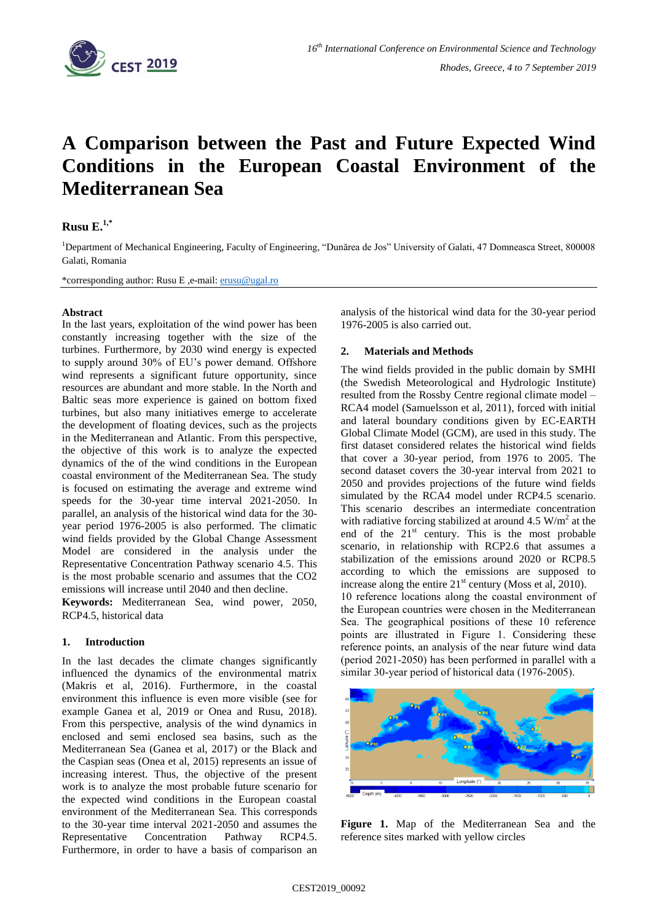

# **A Comparison between the Past and Future Expected Wind Conditions in the European Coastal Environment of the Mediterranean Sea**

## **Rusu E. 1,\***

<sup>1</sup>Department of Mechanical Engineering, Faculty of Engineering, "Dunărea de Jos" University of Galati, 47 Domneasca Street, 800008 Galati, Romania

\*corresponding author: Rusu E ,e-mail: [erusu@ugal.ro](mailto:erusu@ugal.ro)

#### **Abstract**

In the last years, exploitation of the wind power has been constantly increasing together with the size of the turbines. Furthermore, by 2030 wind energy is expected to supply around 30% of EU's power demand. Offshore wind represents a significant future opportunity, since resources are abundant and more stable. In the North and Baltic seas more experience is gained on bottom fixed turbines, but also many initiatives emerge to accelerate the development of floating devices, such as the projects in the Mediterranean and Atlantic. From this perspective, the objective of this work is to analyze the expected dynamics of the of the wind conditions in the European coastal environment of the Mediterranean Sea. The study is focused on estimating the average and extreme wind speeds for the 30-year time interval 2021-2050. In parallel, an analysis of the historical wind data for the 30 year period 1976-2005 is also performed. The climatic wind fields provided by the Global Change Assessment Model are considered in the analysis under the Representative Concentration Pathway scenario 4.5. This is the most probable scenario and assumes that the CO2 emissions will increase until 2040 and then decline.

**Keywords:** Mediterranean Sea, wind power, 2050, RCP4.5, historical data

### **1. Introduction**

In the last decades the climate changes significantly influenced the dynamics of the environmental matrix (Makris et al, 2016). Furthermore, in the coastal environment this influence is even more visible (see for example Ganea et al, 2019 or Onea and Rusu, 2018). From this perspective, analysis of the wind dynamics in enclosed and semi enclosed sea basins, such as the Mediterranean Sea (Ganea et al, 2017) or the Black and the Caspian seas (Onea et al, 2015) represents an issue of increasing interest. Thus, the objective of the present work is to analyze the most probable future scenario for the expected wind conditions in the European coastal environment of the Mediterranean Sea. This corresponds to the 30-year time interval 2021-2050 and assumes the<br>Representative Concentration Pathway RCP4.5. Representative Concentration Pathway RCP4.5. Furthermore, in order to have a basis of comparison an analysis of the historical wind data for the 30-year period 1976-2005 is also carried out.

### **2. Materials and Methods**

The wind fields provided in the public domain by SMHI (the Swedish Meteorological and Hydrologic Institute) resulted from the Rossby Centre regional climate model – RCA4 model (Samuelsson et al, 2011), forced with initial and lateral boundary conditions given by EC-EARTH Global Climate Model (GCM), are used in this study. The first dataset considered relates the historical wind fields that cover a 30-year period, from 1976 to 2005. The second dataset covers the 30-year interval from 2021 to 2050 and provides projections of the future wind fields simulated by the RCA4 model under RCP4.5 scenario. This scenario describes an intermediate concentration with radiative forcing stabilized at around  $4.5 \text{ W/m}^2$  at the end of the  $21<sup>st</sup>$  century. This is the most probable scenario, in relationship with RCP2.6 that assumes a stabilization of the emissions around 2020 or RCP8.5 according to which the emissions are supposed to increase along the entire  $21<sup>st</sup>$  century (Moss et al, 2010). 10 reference locations along the coastal environment of the European countries were chosen in the Mediterranean Sea. The geographical positions of these 10 reference points are illustrated in Figure 1. Considering these reference points, an analysis of the near future wind data (period 2021-2050) has been performed in parallel with a similar 30-year period of historical data (1976-2005).



**Figure 1.** Map of the Mediterranean Sea and the reference sites marked with yellow circles